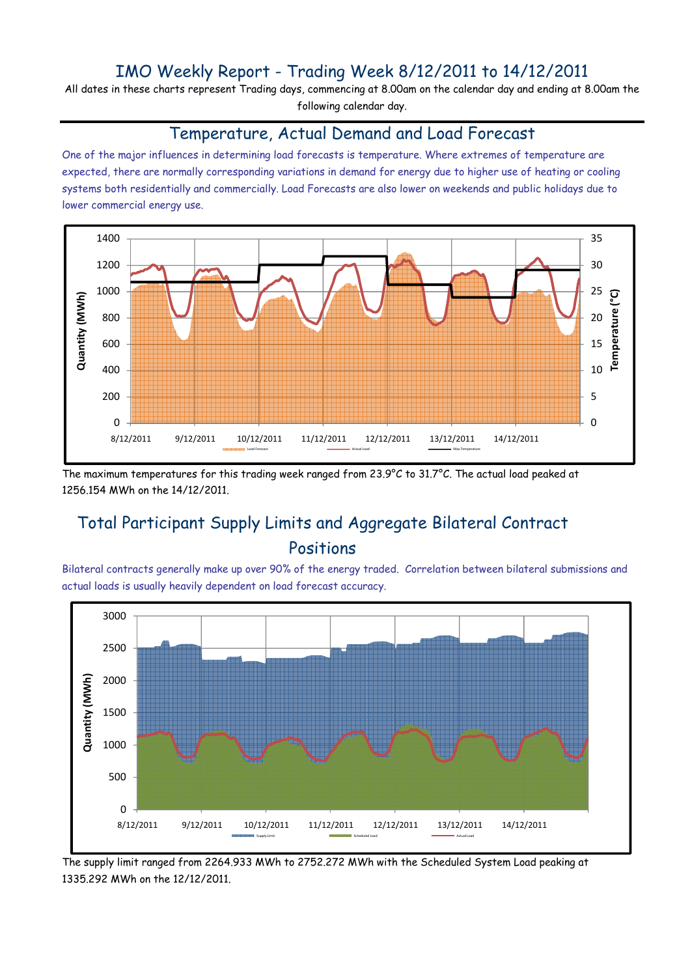# IMO Weekly Report - Trading Week 8/12/2011 to 14/12/2011

All dates in these charts represent Trading days, commencing at 8.00am on the calendar day and ending at 8.00am the following calendar day.

#### Temperature, Actual Demand and Load Forecast

One of the major influences in determining load forecasts is temperature. Where extremes of temperature are expected, there are normally corresponding variations in demand for energy due to higher use of heating or cooling systems both residentially and commercially. Load Forecasts are also lower on weekends and public holidays due to lower commercial energy use.



The maximum temperatures for this trading week ranged from 23.9°C to 31.7°C. The actual load peaked at 1256.154 MWh on the 14/12/2011.

# Total Participant Supply Limits and Aggregate Bilateral Contract Positions

Bilateral contracts generally make up over 90% of the energy traded. Correlation between bilateral submissions and actual loads is usually heavily dependent on load forecast accuracy.



The supply limit ranged from 2264.933 MWh to 2752.272 MWh with the Scheduled System Load peaking at 1335.292 MWh on the 12/12/2011.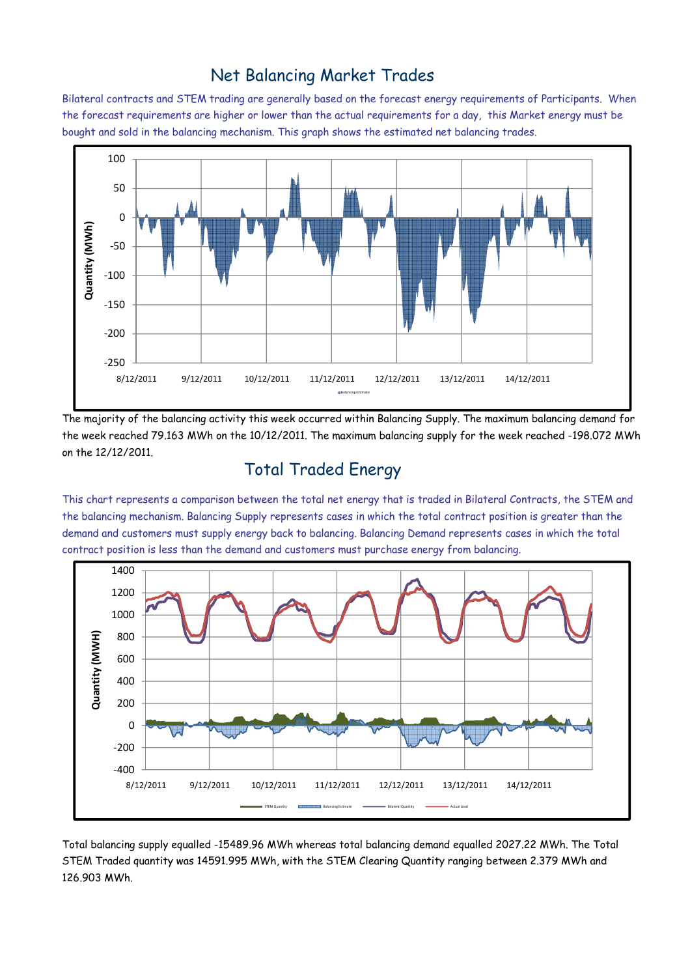### Net Balancing Market Trades

Bilateral contracts and STEM trading are generally based on the forecast energy requirements of Participants. When the forecast requirements are higher or lower than the actual requirements for a day, this Market energy must be bought and sold in the balancing mechanism. This graph shows the estimated net balancing trades.



The majority of the balancing activity this week occurred within Balancing Supply. The maximum balancing demand for the week reached 79.163 MWh on the 10/12/2011. The maximum balancing supply for the week reached -198.072 MWh on the 12/12/2011.

# Total Traded Energy

This chart represents a comparison between the total net energy that is traded in Bilateral Contracts, the STEM and the balancing mechanism. Balancing Supply represents cases in which the total contract position is greater than the demand and customers must supply energy back to balancing. Balancing Demand represents cases in which the total contract position is less than the demand and customers must purchase energy from balancing.



Total balancing supply equalled -15489.96 MWh whereas total balancing demand equalled 2027.22 MWh. The Total STEM Traded quantity was 14591.995 MWh, with the STEM Clearing Quantity ranging between 2.379 MWh and 126.903 MWh.